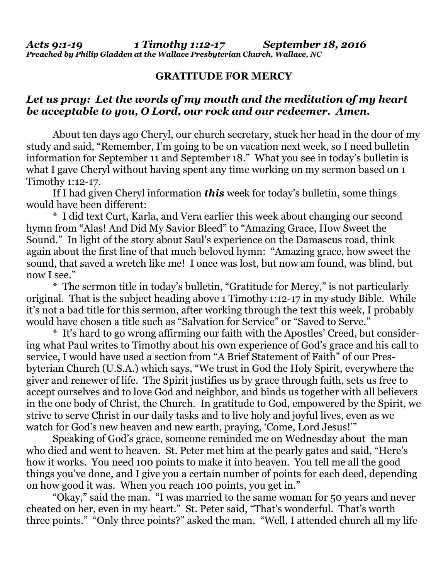## **GRATITUDE FOR MERCY**

## *Let us pray: Let the words of my mouth and the meditation of my heart be acceptable to you, O Lord, our rock and our redeemer. Amen.*

About ten days ago Cheryl, our church secretary, stuck her head in the door of my study and said, "Remember, I'm going to be on vacation next week, so I need bulletin information for September 11 and September 18." What you see in today's bulletin is what I gave Cheryl without having spent any time working on my sermon based on 1 Timothy 1:12-17.

 If I had given Cheryl information *this* week for today's bulletin, some things would have been different:

 \* I did text Curt, Karla, and Vera earlier this week about changing our second hymn from "Alas! And Did My Savior Bleed" to "Amazing Grace, How Sweet the Sound." In light of the story about Saul's experience on the Damascus road, think again about the first line of that much beloved hymn: "Amazing grace, how sweet the sound, that saved a wretch like me! I once was lost, but now am found, was blind, but now I see."

 \* The sermon title in today's bulletin, "Gratitude for Mercy," is not particularly original. That is the subject heading above 1 Timothy 1:12-17 in my study Bible. While it's not a bad title for this sermon, after working through the text this week, I probably would have chosen a title such as "Salvation for Service" or "Saved to Serve."

 \* It's hard to go wrong affirming our faith with the Apostles' Creed, but considering what Paul writes to Timothy about his own experience of God's grace and his call to service, I would have used a section from "A Brief Statement of Faith" of our Presbyterian Church (U.S.A.) which says, "We trust in God the Holy Spirit, everywhere the giver and renewer of life. The Spirit justifies us by grace through faith, sets us free to accept ourselves and to love God and neighbor, and binds us together with all believers in the one body of Christ, the Church. In gratitude to God, empowered by the Spirit, we strive to serve Christ in our daily tasks and to live holy and joyful lives, even as we watch for God's new heaven and new earth, praying, 'Come, Lord Jesus!'"

 Speaking of God's grace, someone reminded me on Wednesday about the man who died and went to heaven. St. Peter met him at the pearly gates and said, "Here's how it works. You need 100 points to make it into heaven. You tell me all the good things you've done, and I give you a certain number of points for each deed, depending on how good it was. When you reach 100 points, you get in."

"Okay," said the man. "I was married to the same woman for 50 years and never cheated on her, even in my heart." St. Peter said, "That's wonderful. That's worth three points." "Only three points?" asked the man. "Well, I attended church all my life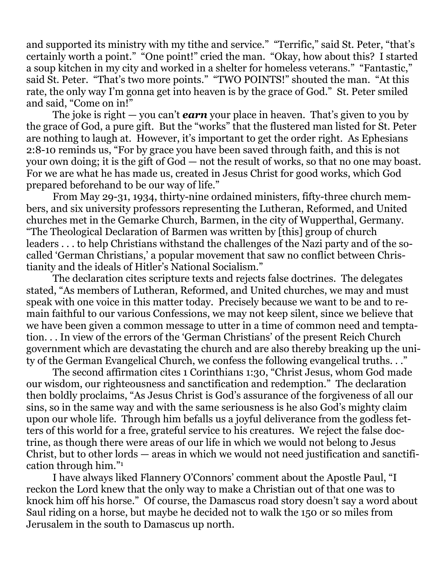and supported its ministry with my tithe and service." "Terrific," said St. Peter, "that's certainly worth a point." "One point!" cried the man. "Okay, how about this? I started a soup kitchen in my city and worked in a shelter for homeless veterans." "Fantastic," said St. Peter. "That's two more points." "TWO POINTS!" shouted the man. "At this rate, the only way I'm gonna get into heaven is by the grace of God." St. Peter smiled and said, "Come on in!"

 The joke is right — you can't *earn* your place in heaven. That's given to you by the grace of God, a pure gift. But the "works" that the flustered man listed for St. Peter are nothing to laugh at. However, it's important to get the order right. As Ephesians 2:8-10 reminds us, "For by grace you have been saved through faith, and this is not your own doing; it is the gift of God — not the result of works, so that no one may boast. For we are what he has made us, created in Jesus Christ for good works, which God prepared beforehand to be our way of life."

 From May 29-31, 1934, thirty-nine ordained ministers, fifty-three church members, and six university professors representing the Lutheran, Reformed, and United churches met in the Gemarke Church, Barmen, in the city of Wupperthal, Germany. "The Theological Declaration of Barmen was written by [this] group of church leaders . . . to help Christians withstand the challenges of the Nazi party and of the socalled 'German Christians,' a popular movement that saw no conflict between Christianity and the ideals of Hitler's National Socialism."

 The declaration cites scripture texts and rejects false doctrines. The delegates stated, "As members of Lutheran, Reformed, and United churches, we may and must speak with one voice in this matter today. Precisely because we want to be and to remain faithful to our various Confessions, we may not keep silent, since we believe that we have been given a common message to utter in a time of common need and temptation. . . In view of the errors of the 'German Christians' of the present Reich Church government which are devastating the church and are also thereby breaking up the unity of the German Evangelical Church, we confess the following evangelical truths. . ."

 The second affirmation cites 1 Corinthians 1:30, "Christ Jesus, whom God made our wisdom, our righteousness and sanctification and redemption." The declaration then boldly proclaims, "As Jesus Christ is God's assurance of the forgiveness of all our sins, so in the same way and with the same seriousness is he also God's mighty claim upon our whole life. Through him befalls us a joyful deliverance from the godless fetters of this world for a free, grateful service to his creatures. We reject the false doctrine, as though there were areas of our life in which we would not belong to Jesus Christ, but to other lords — areas in which we would not need justification and sanctification through him."1

 I have always liked Flannery O'Connors' comment about the Apostle Paul, "I reckon the Lord knew that the only way to make a Christian out of that one was to knock him off his horse." Of course, the Damascus road story doesn't say a word about Saul riding on a horse, but maybe he decided not to walk the 150 or so miles from Jerusalem in the south to Damascus up north.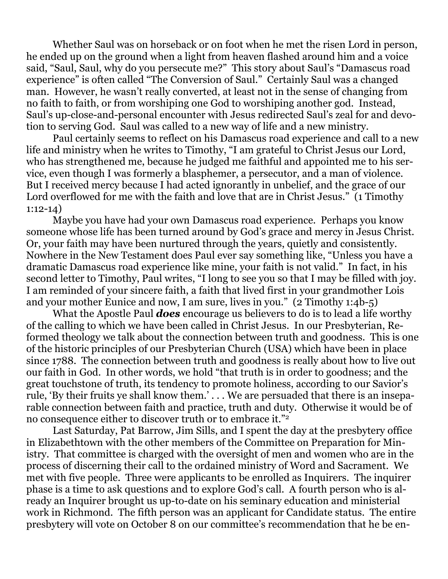Whether Saul was on horseback or on foot when he met the risen Lord in person, he ended up on the ground when a light from heaven flashed around him and a voice said, "Saul, Saul, why do you persecute me?" This story about Saul's "Damascus road experience" is often called "The Conversion of Saul." Certainly Saul was a changed man. However, he wasn't really converted, at least not in the sense of changing from no faith to faith, or from worshiping one God to worshiping another god. Instead, Saul's up-close-and-personal encounter with Jesus redirected Saul's zeal for and devotion to serving God. Saul was called to a new way of life and a new ministry.

 Paul certainly seems to reflect on his Damascus road experience and call to a new life and ministry when he writes to Timothy, "I am grateful to Christ Jesus our Lord, who has strengthened me, because he judged me faithful and appointed me to his service, even though I was formerly a blasphemer, a persecutor, and a man of violence. But I received mercy because I had acted ignorantly in unbelief, and the grace of our Lord overflowed for me with the faith and love that are in Christ Jesus." (1 Timothy 1:12-14)

 Maybe you have had your own Damascus road experience. Perhaps you know someone whose life has been turned around by God's grace and mercy in Jesus Christ. Or, your faith may have been nurtured through the years, quietly and consistently. Nowhere in the New Testament does Paul ever say something like, "Unless you have a dramatic Damascus road experience like mine, your faith is not valid." In fact, in his second letter to Timothy, Paul writes, "I long to see you so that I may be filled with joy. I am reminded of your sincere faith, a faith that lived first in your grandmother Lois and your mother Eunice and now, I am sure, lives in you." (2 Timothy 1:4b-5)

 What the Apostle Paul *does* encourage us believers to do is to lead a life worthy of the calling to which we have been called in Christ Jesus. In our Presbyterian, Reformed theology we talk about the connection between truth and goodness. This is one of the historic principles of our Presbyterian Church (USA) which have been in place since 1788. The connection between truth and goodness is really about how to live out our faith in God. In other words, we hold "that truth is in order to goodness; and the great touchstone of truth, its tendency to promote holiness, according to our Savior's rule, 'By their fruits ye shall know them.' . . . We are persuaded that there is an inseparable connection between faith and practice, truth and duty. Otherwise it would be of no consequence either to discover truth or to embrace it."2

 Last Saturday, Pat Barrow, Jim Sills, and I spent the day at the presbytery office in Elizabethtown with the other members of the Committee on Preparation for Ministry. That committee is charged with the oversight of men and women who are in the process of discerning their call to the ordained ministry of Word and Sacrament. We met with five people. Three were applicants to be enrolled as Inquirers. The inquirer phase is a time to ask questions and to explore God's call. A fourth person who is already an Inquirer brought us up-to-date on his seminary education and ministerial work in Richmond. The fifth person was an applicant for Candidate status. The entire presbytery will vote on October 8 on our committee's recommendation that he be en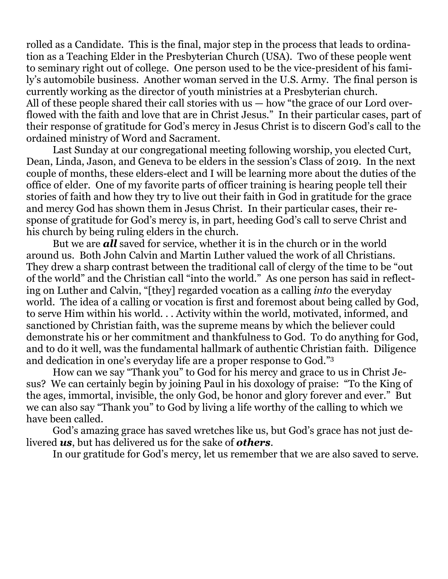rolled as a Candidate. This is the final, major step in the process that leads to ordination as a Teaching Elder in the Presbyterian Church (USA). Two of these people went to seminary right out of college. One person used to be the vice-president of his family's automobile business. Another woman served in the U.S. Army. The final person is currently working as the director of youth ministries at a Presbyterian church. All of these people shared their call stories with us — how "the grace of our Lord overflowed with the faith and love that are in Christ Jesus." In their particular cases, part of their response of gratitude for God's mercy in Jesus Christ is to discern God's call to the ordained ministry of Word and Sacrament.

 Last Sunday at our congregational meeting following worship, you elected Curt, Dean, Linda, Jason, and Geneva to be elders in the session's Class of 2019. In the next couple of months, these elders-elect and I will be learning more about the duties of the office of elder. One of my favorite parts of officer training is hearing people tell their stories of faith and how they try to live out their faith in God in gratitude for the grace and mercy God has shown them in Jesus Christ. In their particular cases, their response of gratitude for God's mercy is, in part, heeding God's call to serve Christ and his church by being ruling elders in the church.

 But we are *all* saved for service, whether it is in the church or in the world around us. Both John Calvin and Martin Luther valued the work of all Christians. They drew a sharp contrast between the traditional call of clergy of the time to be "out of the world" and the Christian call "into the world." As one person has said in reflecting on Luther and Calvin, "[they] regarded vocation as a calling *into* the everyday world. The idea of a calling or vocation is first and foremost about being called by God, to serve Him within his world. . . Activity within the world, motivated, informed, and sanctioned by Christian faith, was the supreme means by which the believer could demonstrate his or her commitment and thankfulness to God. To do anything for God, and to do it well, was the fundamental hallmark of authentic Christian faith. Diligence and dedication in one's everyday life are a proper response to God."3

 How can we say "Thank you" to God for his mercy and grace to us in Christ Jesus? We can certainly begin by joining Paul in his doxology of praise: "To the King of the ages, immortal, invisible, the only God, be honor and glory forever and ever." But we can also say "Thank you" to God by living a life worthy of the calling to which we have been called.

 God's amazing grace has saved wretches like us, but God's grace has not just delivered *us*, but has delivered us for the sake of *others*.

In our gratitude for God's mercy, let us remember that we are also saved to serve.